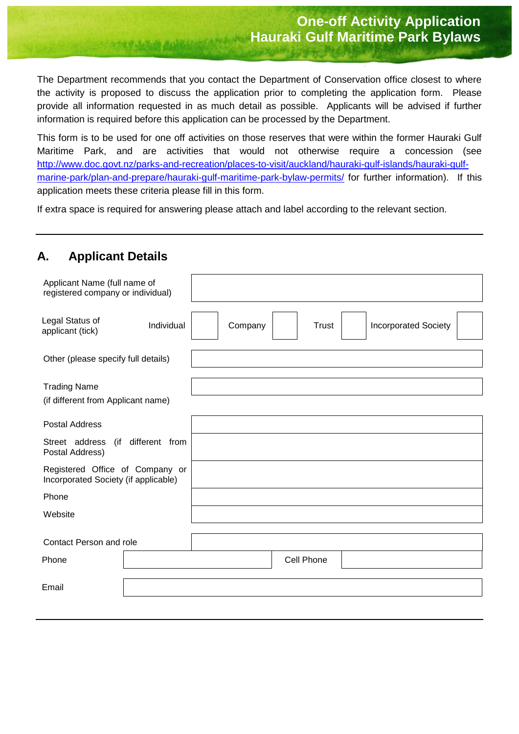The Department recommends that you contact the Department of Conservation office closest to where the activity is proposed to discuss the application prior to completing the application form. Please provide all information requested in as much detail as possible. Applicants will be advised if further information is required before this application can be processed by the Department.

This form is to be used for one off activities on those reserves that were within the former Hauraki Gulf Maritime Park, and are activities that would not otherwise require a concession (see [http://www.doc.govt.nz/parks-and-recreation/places-to-visit/auckland/hauraki-gulf-islands/hauraki-gulf](http://www.doc.govt.nz/parks-and-recreation/places-to-visit/auckland/hauraki-gulf-islands/hauraki-gulf-marine-park/plan-and-prepare/hauraki-gulf-maritime-park-bylaw-permits/)[marine-park/plan-and-prepare/hauraki-gulf-maritime-park-bylaw-permits/](http://www.doc.govt.nz/parks-and-recreation/places-to-visit/auckland/hauraki-gulf-islands/hauraki-gulf-marine-park/plan-and-prepare/hauraki-gulf-maritime-park-bylaw-permits/) for further information). If this application meets these criteria please fill in this form.

If extra space is required for answering please attach and label according to the relevant section.

### **A. Applicant Details**

| Applicant Name (full name of<br>registered company or individual)       |            |         |            |                             |  |
|-------------------------------------------------------------------------|------------|---------|------------|-----------------------------|--|
| Legal Status of<br>applicant (tick)                                     | Individual | Company | Trust      | <b>Incorporated Society</b> |  |
| Other (please specify full details)                                     |            |         |            |                             |  |
| <b>Trading Name</b><br>(if different from Applicant name)               |            |         |            |                             |  |
| <b>Postal Address</b>                                                   |            |         |            |                             |  |
| (if different from<br>Street address<br>Postal Address)                 |            |         |            |                             |  |
| Registered Office of Company or<br>Incorporated Society (if applicable) |            |         |            |                             |  |
| Phone                                                                   |            |         |            |                             |  |
| Website                                                                 |            |         |            |                             |  |
| Contact Person and role                                                 |            |         |            |                             |  |
| Phone                                                                   |            |         | Cell Phone |                             |  |
| Email                                                                   |            |         |            |                             |  |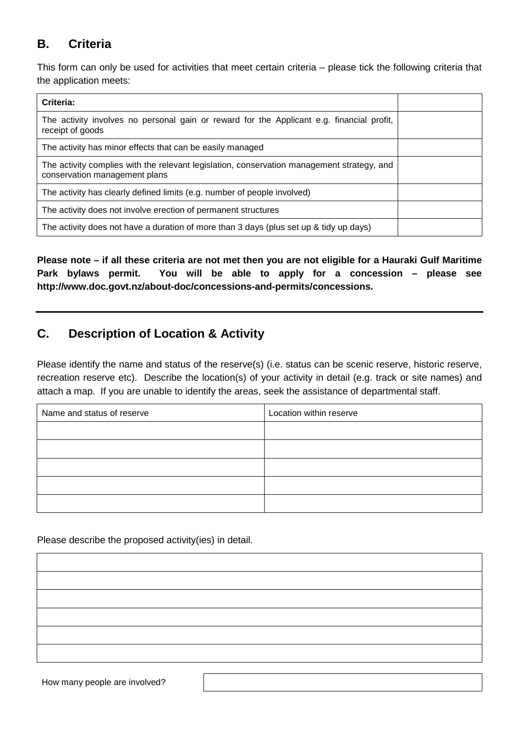# **B. Criteria**

This form can only be used for activities that meet certain criteria – please tick the following criteria that the application meets:

| Criteria:                                                                                                                   |  |
|-----------------------------------------------------------------------------------------------------------------------------|--|
| The activity involves no personal gain or reward for the Applicant e.g. financial profit,<br>receipt of goods               |  |
| The activity has minor effects that can be easily managed                                                                   |  |
| The activity complies with the relevant legislation, conservation management strategy, and<br>conservation management plans |  |
| The activity has clearly defined limits (e.g. number of people involved)                                                    |  |
| The activity does not involve erection of permanent structures                                                              |  |
| The activity does not have a duration of more than 3 days (plus set up & tidy up days)                                      |  |

**Please note – if all these criteria are not met then you are not eligible for a Hauraki Gulf Maritime Park bylaws permit. You will be able to apply for a concession – please see http://www.doc.govt.nz/about-doc/concessions-and-permits/concessions.**

## **C. Description of Location & Activity**

Please identify the name and status of the reserve(s) (i.e. status can be scenic reserve, historic reserve, recreation reserve etc). Describe the location(s) of your activity in detail (e.g. track or site names) and attach a map. If you are unable to identify the areas, seek the assistance of departmental staff.

| Name and status of reserve | Location within reserve |  |  |
|----------------------------|-------------------------|--|--|
|                            |                         |  |  |
|                            |                         |  |  |
|                            |                         |  |  |
|                            |                         |  |  |
|                            |                         |  |  |

Please describe the proposed activity(ies) in detail.

How many people are involved?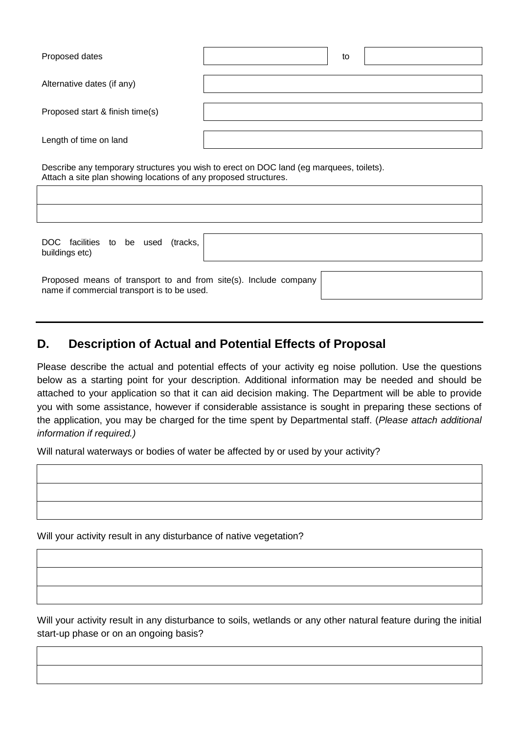| Proposed dates                  | to |
|---------------------------------|----|
| Alternative dates (if any)      |    |
| Proposed start & finish time(s) |    |
| Length of time on land          |    |

Describe any temporary structures you wish to erect on DOC land (eg marquees, toilets). Attach a site plan showing locations of any proposed structures.

DOC facilities to be used (tracks, buildings etc)

Proposed means of transport to and from site(s). Include company name if commercial transport is to be used.

# **D. Description of Actual and Potential Effects of Proposal**

Please describe the actual and potential effects of your activity eg noise pollution. Use the questions below as a starting point for your description. Additional information may be needed and should be attached to your application so that it can aid decision making. The Department will be able to provide you with some assistance, however if considerable assistance is sought in preparing these sections of the application, you may be charged for the time spent by Departmental staff. (*Please attach additional information if required.)*

Will natural waterways or bodies of water be affected by or used by your activity?

Will your activity result in any disturbance of native vegetation?

Will your activity result in any disturbance to soils, wetlands or any other natural feature during the initial start-up phase or on an ongoing basis?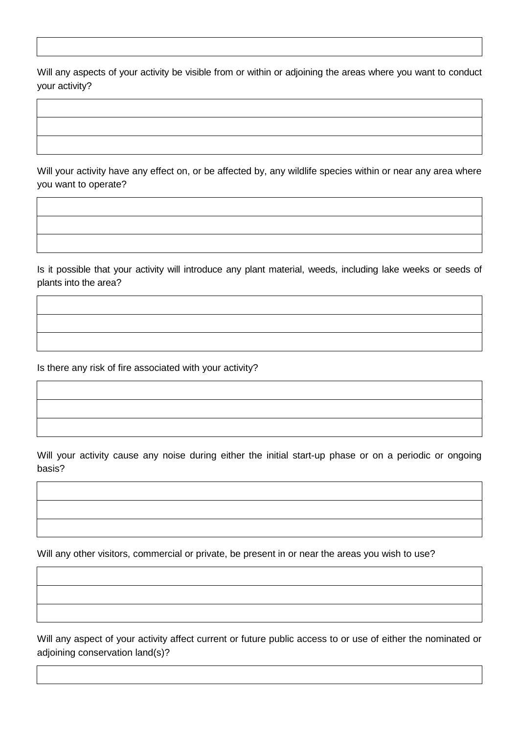Will any aspects of your activity be visible from or within or adjoining the areas where you want to conduct your activity?

Will your activity have any effect on, or be affected by, any wildlife species within or near any area where you want to operate?

Is it possible that your activity will introduce any plant material, weeds, including lake weeks or seeds of plants into the area?

Is there any risk of fire associated with your activity?

Will your activity cause any noise during either the initial start-up phase or on a periodic or ongoing basis?

Will any other visitors, commercial or private, be present in or near the areas you wish to use?

Will any aspect of your activity affect current or future public access to or use of either the nominated or adjoining conservation land(s)?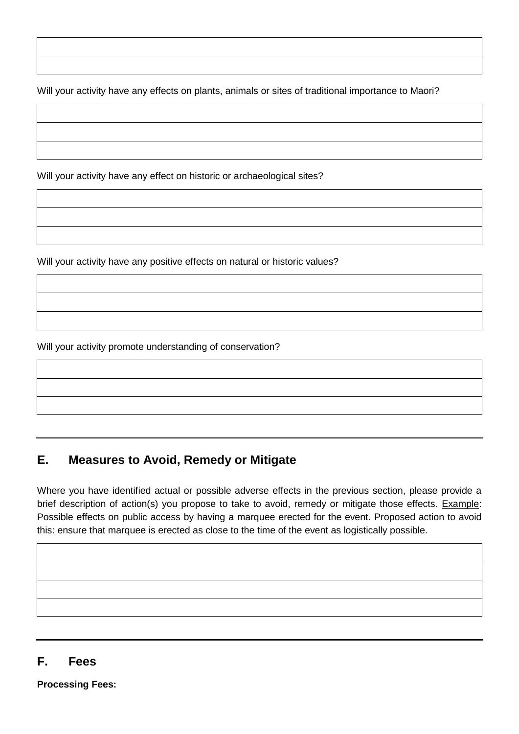Will your activity have any effects on plants, animals or sites of traditional importance to Maori?

Will your activity have any effect on historic or archaeological sites?

Will your activity have any positive effects on natural or historic values?

Will your activity promote understanding of conservation?

# **E. Measures to Avoid, Remedy or Mitigate**

Where you have identified actual or possible adverse effects in the previous section, please provide a brief description of action(s) you propose to take to avoid, remedy or mitigate those effects. Example: Possible effects on public access by having a marquee erected for the event. Proposed action to avoid this: ensure that marquee is erected as close to the time of the event as logistically possible.

### **F. Fees**

**Processing Fees:**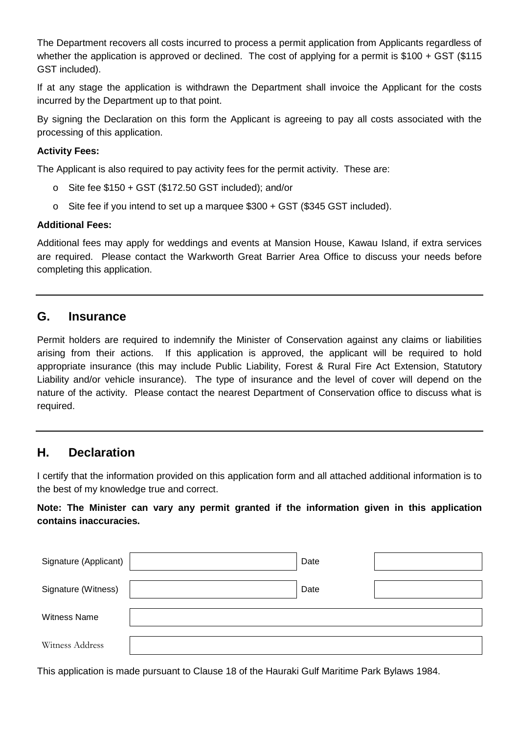The Department recovers all costs incurred to process a permit application from Applicants regardless of whether the application is approved or declined. The cost of applying for a permit is \$100 + GST (\$115 GST included).

If at any stage the application is withdrawn the Department shall invoice the Applicant for the costs incurred by the Department up to that point.

By signing the Declaration on this form the Applicant is agreeing to pay all costs associated with the processing of this application.

#### **Activity Fees:**

The Applicant is also required to pay activity fees for the permit activity. These are:

- o Site fee \$150 + GST (\$172.50 GST included); and/or
- $\circ$  Site fee if you intend to set up a marquee \$300 + GST (\$345 GST included).

#### **Additional Fees:**

Additional fees may apply for weddings and events at Mansion House, Kawau Island, if extra services are required. Please contact the Warkworth Great Barrier Area Office to discuss your needs before completing this application.

### **G. Insurance**

Permit holders are required to indemnify the Minister of Conservation against any claims or liabilities arising from their actions. If this application is approved, the applicant will be required to hold appropriate insurance (this may include Public Liability, Forest & Rural Fire Act Extension, Statutory Liability and/or vehicle insurance). The type of insurance and the level of cover will depend on the nature of the activity. Please contact the nearest Department of Conservation office to discuss what is required.

### **H. Declaration**

I certify that the information provided on this application form and all attached additional information is to the best of my knowledge true and correct.

### **Note: The Minister can vary any permit granted if the information given in this application contains inaccuracies.**

| Signature (Applicant) | Date |  |
|-----------------------|------|--|
| Signature (Witness)   | Date |  |
| <b>Witness Name</b>   |      |  |
| Witness Address       |      |  |

This application is made pursuant to Clause 18 of the Hauraki Gulf Maritime Park Bylaws 1984.